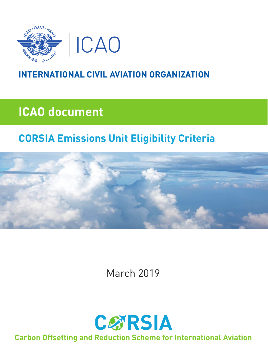

### **INTERNATIONAL CIVIL AVIATION ORGANIZATION**

# **ICAO document**

## **CORSIA Emissions Unit Eligibility Criteria**



March 2019



#### **Carbon Offsetting and Reduction Scheme for International Aviation**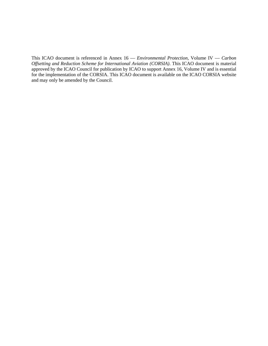This ICAO document is referenced in Annex 16 — *Environmental Protection*, Volume IV — *Carbon Offsetting and Reduction Scheme for International Aviation (CORSIA)*. This ICAO document is material approved by the ICAO Council for publication by ICAO to support Annex 16, Volume IV and is essential for the implementation of the CORSIA. This ICAO document is available on the ICAO CORSIA website and may only be amended by the Council.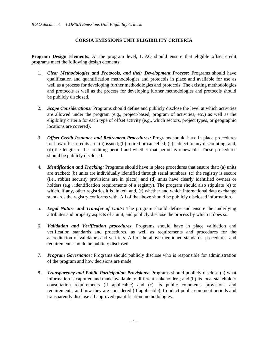#### **CORSIA EMISSIONS UNIT ELIGIBILITY CRITERIA**

**Program Design Elements**. At the program level, ICAO should ensure that eligible offset credit programs meet the following design elements:

- 1. *Clear Methodologies and Protocols, and their Development Process:* Programs should have qualification and quantification methodologies and protocols in place and available for use as well as a process for developing further methodologies and protocols. The existing methodologies and protocols as well as the process for developing further methodologies and protocols should be publicly disclosed.
- 2. *Scope Considerations:* Programs should define and publicly disclose the level at which activities are allowed under the program (e.g., project-based, program of activities, etc.) as well as the eligibility criteria for each type of offset activity (e.g., which sectors, project types, or geographic locations are covered).
- 3. *Offset Credit Issuance and Retirement Procedures:* Programs should have in place procedures for how offset credits are: (a) issued; (b) retired or cancelled; (c) subject to any discounting; and, (d) the length of the crediting period and whether that period is renewable. These procedures should be publicly disclosed.
- 4. *Identification and Tracking:* Programs should have in place procedures that ensure that: (a) units are tracked; (b) units are individually identified through serial numbers: (c) the registry is secure (i.e., robust security provisions are in place); and (d) units have clearly identified owners or holders (e.g., identification requirements of a registry). The program should also stipulate (e) to which, if any, other registries it is linked; and, (f) whether and which international data exchange standards the registry conforms with. All of the above should be publicly disclosed information.
- 5. *Legal Nature and Transfer of Units:* The program should define and ensure the underlying attributes and property aspects of a unit, and publicly disclose the process by which it does so.
- 6. *Validation and Verification procedures*: Programs should have in place validation and verification standards and procedures, as well as requirements and procedures for the accreditation of validators and verifiers. All of the above-mentioned standards, procedures, and requirements should be publicly disclosed.
- 7. *Program Governance:* Programs should publicly disclose who is responsible for administration of the program and how decisions are made.
- 8. *Transparency and Public Participation Provisions:* Programs should publicly disclose (a) what information is captured and made available to different stakeholders; and (b) its local stakeholder consultation requirements (if applicable) and (c) its public comments provisions and requirements, and how they are considered (if applicable). Conduct public comment periods and transparently disclose all approved quantification methodologies.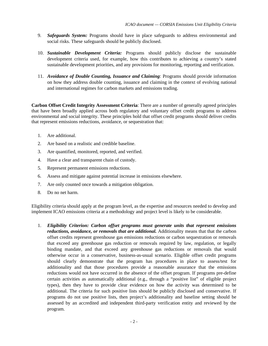- 9. *Safeguards System:* Programs should have in place safeguards to address environmental and social risks. These safeguards should be publicly disclosed.
- 10. *Sustainable Development Criteria:* Programs should publicly disclose the sustainable development criteria used, for example, how this contributes to achieving a country's stated sustainable development priorities, and any provisions for monitoring, reporting and verification.
- 11. *Avoidance of Double Counting, Issuance and Claiming*: Programs should provide information on how they address double counting, issuance and claiming in the context of evolving national and international regimes for carbon markets and emissions trading.

**Carbon Offset Credit Integrity Assessment Criteria**: There are a number of generally agreed principles that have been broadly applied across both regulatory and voluntary offset credit programs to address environmental and social integrity. These principles hold that offset credit programs should deliver credits that represent emissions reductions, avoidance, or sequestration that:

- 1. Are additional.
- 2. Are based on a realistic and credible baseline.
- 3. Are quantified, monitored, reported, and verified.
- 4. Have a clear and transparent chain of custody.
- 5. Represent permanent emissions reductions.
- 6. Assess and mitigate against potential increase in emissions elsewhere.
- 7. Are only counted once towards a mitigation obligation.
- 8. Do no net harm.

Eligibility criteria should apply at the program level, as the expertise and resources needed to develop and implement ICAO emissions criteria at a methodology and project level is likely to be considerable.

1. *Eligibility Criterion: Carbon offset programs must generate units that represent emissions reductions, avoidance, or removals that are additional.* Additionality means that that the carbon offset credits represent greenhouse gas emissions reductions or carbon sequestration or removals that exceed any greenhouse gas reduction or removals required by law, regulation, or legally binding mandate, and that exceed any greenhouse gas reductions or removals that would otherwise occur in a conservative, business-as-usual scenario. Eligible offset credit programs should clearly demonstrate that the program has procedures in place to assess/test for additionality and that those procedures provide a reasonable assurance that the emissions reductions would not have occurred in the absence of the offset program. If programs pre-define certain activities as automatically additional (e.g., through a "positive list" of eligible project types), then they have to provide clear evidence on how the activity was determined to be additional. The criteria for such positive lists should be publicly disclosed and conservative. If programs do not use positive lists, then project's additionality and baseline setting should be assessed by an accredited and independent third-party verification entity and reviewed by the program.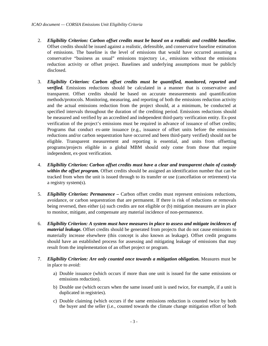- 2. *Eligibility Criterion: Carbon offset credits must be based on a realistic and credible baseline.* Offset credits should be issued against a realistic, defensible, and conservative baseline estimation of emissions. The baseline is the level of emissions that would have occurred assuming a conservative "business as usual" emissions trajectory i.e., emissions without the emissions reduction activity or offset project. Baselines and underlying assumptions must be publicly disclosed.
- 3. *Eligibility Criterion: Carbon offset credits must be quantified, monitored, reported and verified.* Emissions reductions should be calculated in a manner that is conservative and transparent. Offset credits should be based on accurate measurements and quantification methods/protocols. Monitoring, measuring, and reporting of both the emissions reduction activity and the actual emissions reduction from the project should, at a minimum, be conducted at specified intervals throughout the duration of the crediting period. Emissions reductions should be measured and verified by an accredited and independent third-party verification entity. Ex-post verification of the project's emissions must be required in advance of issuance of offset credits; Programs that conduct ex-ante issuance (e.g., issuance of offset units before the emissions reductions and/or carbon sequestration have occurred and been third-party verified) should not be eligible. Transparent measurement and reporting is essential, and units from offsetting programs/projects eligible in a global MBM should only come from those that require independent, ex-post verification.
- 4. *Eligibility Criterion: Carbon offset credits must have a clear and transparent chain of custody*  within the offset program. Offset credits should be assigned an identification number that can be tracked from when the unit is issued through to its transfer or use (cancellation or retirement) via a registry system(s).
- 5. *Eligibility Criterion: Permanence –* Carbon offset credits must represent emissions reductions, avoidance, or carbon sequestration that are permanent. If there is risk of reductions or removals being reversed, then either (a) such credits are not eligible or (b) mitigation measures are in place to monitor, mitigate, and compensate any material incidence of non-permanence.
- 6. *Eligibility Criterion: A system must have measures in place to assess and mitigate incidences of material leakage*. Offset credits should be generated from projects that do not cause emissions to materially increase elsewhere (this concept is also known as leakage). Offset credit programs should have an established process for assessing and mitigating leakage of emissions that may result from the implementation of an offset project or program.
- 7. *Eligibility Criterion: Are only counted once towards a mitigation obligation.* Measures must be in place to avoid:
	- a) Double issuance (which occurs if more than one unit is issued for the same emissions or emissions reduction).
	- b) Double use (which occurs when the same issued unit is used twice, for example, if a unit is duplicated in registries).
	- c) Double claiming (which occurs if the same emissions reduction is counted twice by both the buyer and the seller (i.e., counted towards the climate change mitigation effort of both